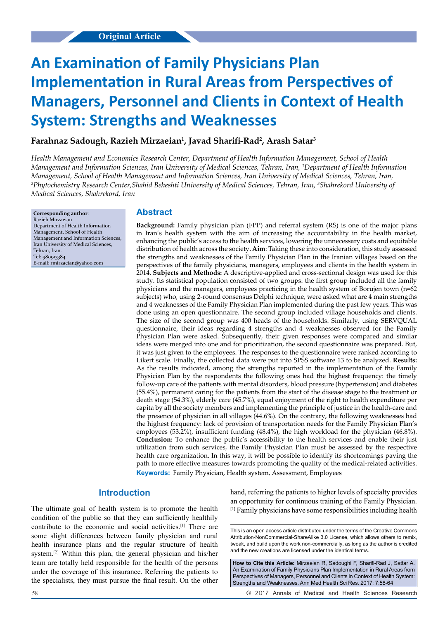# **An Examination of Family Physicians Plan Implementation in Rural Areas from Perspectives of Managers, Personnel and Clients in Context of Health System: Strengths and Weaknesses**

## **Farahnaz Sadough, Razieh Mirzaeian1 , Javad Sharifi-Rad<sup>2</sup> , Arash Satar3**

*Health Management and Economics Research Center, Department of Health Information Management, School of Health Management and Information Sciences, Iran University of Medical Sciences, Tehran, Iran, 1 Department of Health Information Management, School of Health Management and Information Sciences, Iran University of Medical Sciences, Tehran, Iran, 2 Phytochemistry Research Center,Shahid Beheshti University of Medical Sciences, Tehran, Iran, 3 Shahrekord University of Medical Sciences, Shahrekord, Iran*

**Corresponding author**: Razieh Mirzaeian Department of Health Information Management, School of Health Management and Information Sciences, Iran University of Medical Sciences, Tehran, Iran. Tel: 980913384 E-mail: rmirzaeian@yahoo.com

## **Abstract**

**Background:** Family physician plan (FPP) and referral system (RS) is one of the major plans in Iran's health system with the aim of increasing the accountability in the health market, enhancing the public's access to the health services, lowering the unnecessary costs and equitable distribution of health across the society**. Aim**: Taking these into consideration, this study assessed the strengths and weaknesses of the Family Physician Plan in the Iranian villages based on the perspectives of the family physicians, managers, employees and clients in the health system in 2014. **Subjects and Methods:** A descriptive-applied and cross-sectional design was used for this study. Its statistical population consisted of two groups: the first group included all the family physicians and the managers, employees practicing in the health system of Borujen town (n=62 subjects) who, using 2-round consensus Delphi technique, were asked what are 4 main strengths and 4 weaknesses of the Family Physician Plan implemented during the past few years. This was done using an open questionnaire. The second group included village households and clients. The size of the second group was 400 heads of the households. Similarly, using SERVQUAL questionnaire, their ideas regarding 4 strengths and 4 weaknesses observed for the Family Physician Plan were asked. Subsequently, their given responses were compared and similar ideas were merged into one and for prioritization, the second questionnaire was prepared. But, it was just given to the employees. The responses to the questionnaire were ranked according to Likert scale. Finally, the collected data were put into SPSS software 13 to be analyzed. **Results:** As the results indicated, among the strengths reported in the implementation of the Family Physician Plan by the respondents the following ones had the highest frequency: the timely follow-up care of the patients with mental disorders, blood pressure (hypertension) and diabetes (55.4%), permanent caring for the patients from the start of the disease stage to the treatment or death stage (54.3%), elderly care (45.7%), equal enjoyment of the right to health expenditure per capita by all the society members and implementing the principle of justice in the health-care and the presence of physician in all villages (44.6%). On the contrary, the following weaknesses had the highest frequency: lack of provision of transportation needs for the Family Physician Plan's employees (53.2%), insufficient funding (48.4%), the high workload for the physician (46.8%). **Conclusion:** To enhance the public's accessibility to the health services and enable their just utilization from such services, the Family Physician Plan must be assessed by the respective health care organization. In this way, it will be possible to identify its shortcomings paving the path to more effective measures towards promoting the quality of the medical-related activities. **Keywords:** Family Physician, Health system, Assessment, Employees

## **Introduction**

The ultimate goal of health system is to promote the health condition of the public so that they can sufficiently healthily contribute to the economic and social activities.[1] There are some slight differences between family physician and rural health insurance plans and the regular structure of health system.[2] Within this plan, the general physician and his/her team are totally held responsible for the health of the persons under the coverage of this insurance. Referring the patients to the specialists, they must pursue the final result. On the other

hand, referring the patients to higher levels of specialty provides an opportunity for continuous training of the Family Physician. [1] Family physicians have some responsibilities including health

This is an open access article distributed under the terms of the Creative Commons Attribution‑NonCommercial‑ShareAlike 3.0 License, which allows others to remix, tweak, and build upon the work non‑commercially, as long as the author is credited and the new creations are licensed under the identical terms.

**How to Cite this Article:** Mirzaeian R, Sadoughi F, Sharifi-Rad J, Sattar A. An Examination of Family Physicians Plan Implementation in Rural Areas from Perspectives of Managers, Personnel and Clients in Context of Health System: Strengths and Weaknesses. Ann Med Health Sci Res. 2017; 7:58-64

58 © 2017 Annals of Medical and Health Sciences Research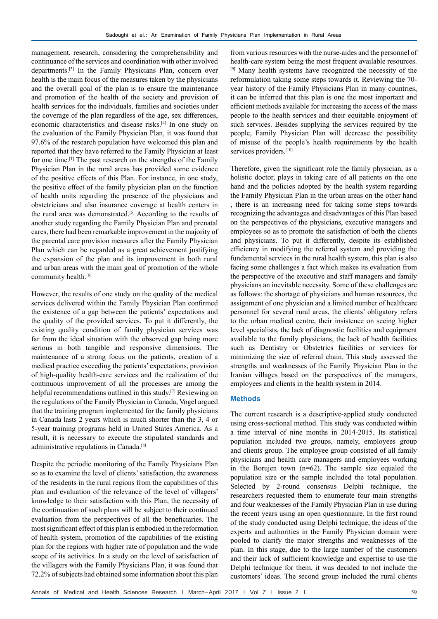management, research, considering the comprehensibility and continuance of the services and coordination with other involved departments.[3] In the Family Physicians Plan, concern over health is the main focus of the measures taken by the physicians and the overall goal of the plan is to ensure the maintenance and promotion of the health of the society and provision of health services for the individuals, families and societies under the coverage of the plan regardless of the age, sex differences, economic characteristics and disease risks.[4] In one study on the evaluation of the Family Physician Plan, it was found that 97.6% of the research population have welcomed this plan and reported that they have referred to the Family Physician at least for one time.[1] The past research on the strengths of the Family Physician Plan in the rural areas has provided some evidence of the positive effects of this Plan. For instance, in one study, the positive effect of the family physician plan on the function of health units regarding the presence of the physicians and obstetricians and also insurance coverage at health centers in the rural area was demonstrated.<sup>[5]</sup> According to the results of another study regarding the Family Physician Plan and prenatal cares, there had been remarkable improvement in the majority of the parental care provision measures after the Family Physician Plan which can be regarded as a great achievement justifying the expansion of the plan and its improvement in both rural and urban areas with the main goal of promotion of the whole community health.<sup>[6]</sup>

However, the results of one study on the quality of the medical services delivered within the Family Physician Plan confirmed the existence of a gap between the patients' expectations and the quality of the provided services. To put it differently, the existing quality condition of family physician services was far from the ideal situation with the observed gap being more serious in both tangible and responsive dimensions. The maintenance of a strong focus on the patients, creation of a medical practice exceeding the patients' expectations, provision of high-quality health-care services and the realization of the continuous improvement of all the processes are among the helpful recommendations outlined in this study.<sup>[7]</sup> Reviewing on the regulations of the Family Physician in Canada, Vogel argued that the training program implemented for the family physicians in Canada lasts 2 years which is much shorter than the 3, 4 or 5-year training programs held in United States America. As a result, it is necessary to execute the stipulated standards and administrative regulations in Canada.[8]

Despite the periodic monitoring of the Family Physicians Plan so as to examine the level of clients' satisfaction, the awareness of the residents in the rural regions from the capabilities of this plan and evaluation of the relevance of the level of villagers' knowledge to their satisfaction with this Plan, the necessity of the continuation of such plans will be subject to their continued evaluation from the perspectives of all the beneficiaries. The most significant effect of this plan is embodied in the reformation of health system, promotion of the capabilities of the existing plan for the regions with higher rate of population and the wide scope of its activities. In a study on the level of satisfaction of the villagers with the Family Physicians Plan, it was found that 72.2% of subjects had obtained some information about this plan

from various resources with the nurse-aides and the personnel of health-care system being the most frequent available resources. [9] Many health systems have recognized the necessity of the reformulation taking some steps towards it. Reviewing the 70 year history of the Family Physicians Plan in many countries, it can be inferred that this plan is one the most important and efficient methods available for increasing the access of the mass people to the health services and their equitable enjoyment of such services. Besides supplying the services required by the people, Family Physician Plan will decrease the possibility of misuse of the people's health requirements by the health services providers.<sup>[10]</sup>

Therefore, given the significant role the family physician, as a holistic doctor, plays in taking care of all patients on the one hand and the policies adopted by the health system regarding the Family Physician Plan in the urban areas on the other hand , there is an increasing need for taking some steps towards recognizing the advantages and disadvantages of this Plan based on the perspectives of the physicians, executive managers and employees so as to promote the satisfaction of both the clients and physicians. To put it differently, despite its established efficiency in modifying the referral system and providing the fundamental services in the rural health system, this plan is also facing some challenges a fact which makes its evaluation from the perspective of the executive and staff managers and family physicians an inevitable necessity. Some of these challenges are as follows: the shortage of physicians and human resources, the assignment of one physician and a limited number of healthcare personnel for several rural areas, the clients' obligatory refers to the urban medical centre, their insistence on seeing higher level specialists, the lack of diagnostic facilities and equipment available to the family physicians, the lack of health facilities such as Dentistry or Obstetrics facilities or services for minimizing the size of referral chain. This study assessed the strengths and weaknesses of the Family Physician Plan in the Iranian villages based on the perspectives of the managers, employees and clients in the health system in 2014.

#### **Methods**

The current research is a descriptive-applied study conducted using cross-sectional method. This study was conducted within a time interval of nine months in 2014-2015. Its statistical population included two groups, namely, employees group and clients group. The employee group consisted of all family physicians and health care managers and employees working in the Borujen town  $(n=62)$ . The sample size equaled the population size or the sample included the total population. Selected by 2-round consensus Delphi technique, the researchers requested them to enumerate four main strengths and four weaknesses of the Family Physician Plan in use during the recent years using an open questionnaire. In the first round of the study conducted using Delphi technique, the ideas of the experts and authorities in the Family Physician domain were pooled to clarify the major strengths and weaknesses of the plan. In this stage, due to the large number of the customers and their lack of sufficient knowledge and expertise to use the Delphi technique for them, it was decided to not include the customers' ideas. The second group included the rural clients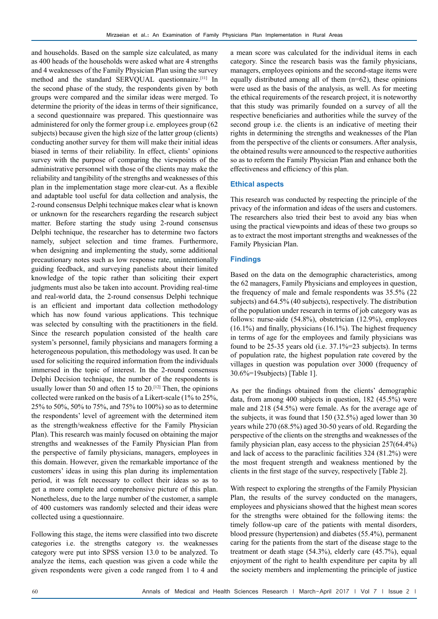and households. Based on the sample size calculated, as many as 400 heads of the households were asked what are 4 strengths and 4 weaknesses of the Family Physician Plan using the survey method and the standard SERVQUAL questionnaire.[11] In the second phase of the study, the respondents given by both groups were compared and the similar ideas were merged. To determine the priority of the ideas in terms of their significance, a second questionnaire was prepared. This questionnaire was administered for only the former group i.e. employees group (62 subjects) because given the high size of the latter group (clients) conducting another survey for them will make their initial ideas biased in terms of their reliability. In effect, clients' opinions survey with the purpose of comparing the viewpoints of the administrative personnel with those of the clients may make the reliability and tangibility of the strengths and weaknesses of this plan in the implementation stage more clear-cut. As a flexible and adaptable tool useful for data collection and analysis, the 2-round consensus Delphi technique makes clear what is known or unknown for the researchers regarding the research subject matter. Before starting the study using 2-round consensus Delphi technique, the researcher has to determine two factors namely, subject selection and time frames. Furthermore, when designing and implementing the study, some additional precautionary notes such as low response rate, unintentionally guiding feedback, and surveying panelists about their limited knowledge of the topic rather than soliciting their expert judgments must also be taken into account. Providing real-time and real-world data, the 2-round consensus Delphi technique is an efficient and important data collection methodology which has now found various applications. This technique was selected by consulting with the practitioners in the field. Since the research population consisted of the health care system's personnel, family physicians and managers forming a heterogeneous population, this methodology was used. It can be used for soliciting the required information from the individuals immersed in the topic of interest. In the 2-round consensus Delphi Decision technique, the number of the respondents is usually lower than 50 and often 15 to  $20^{[12]}$  Then, the opinions collected were ranked on the basis of a Likert-scale (1% to 25%, 25% to 50%, 50% to 75%, and 75% to 100%) so as to determine the respondents' level of agreement with the determined item as the strength/weakness effective for the Family Physician Plan). This research was mainly focused on obtaining the major strengths and weaknesses of the Family Physician Plan from the perspective of family physicians, managers, employees in this domain. However, given the remarkable importance of the customers' ideas in using this plan during its implementation period, it was felt necessary to collect their ideas so as to get a more complete and comprehensive picture of this plan. Nonetheless, due to the large number of the customer, a sample of 400 customers was randomly selected and their ideas were collected using a questionnaire.

Following this stage, the items were classified into two discrete categories i.e. the strengths category *vs*. the weaknesses category were put into SPSS version 13.0 to be analyzed. To analyze the items, each question was given a code while the given respondents were given a code ranged from 1 to 4 and

a mean score was calculated for the individual items in each category. Since the research basis was the family physicians, managers, employees opinions and the second-stage items were equally distributed among all of them  $(n=62)$ , these opinions were used as the basis of the analysis, as well. As for meeting the ethical requirements of the research project, it is noteworthy that this study was primarily founded on a survey of all the respective beneficiaries and authorities while the survey of the second group i.e. the clients is an indicative of meeting their rights in determining the strengths and weaknesses of the Plan from the perspective of the clients or consumers. After analysis, the obtained results were announced to the respective authorities so as to reform the Family Physician Plan and enhance both the effectiveness and efficiency of this plan.

#### **Ethical aspects**

This research was conducted by respecting the principle of the privacy of the information and ideas of the users and customers. The researchers also tried their best to avoid any bias when using the practical viewpoints and ideas of these two groups so as to extract the most important strengths and weaknesses of the Family Physician Plan.

#### **Findings**

Based on the data on the demographic characteristics, among the 62 managers, Family Physicians and employees in question, the frequency of male and female respondents was 35.5% (22 subjects) and 64.5% (40 subjects), respectively. The distribution of the population under research in terms of job category was as follows: nurse-aide (54.8%), obstetrician (12.9%), employees (16.1%) and finally, physicians (16.1%). The highest frequency in terms of age for the employees and family physicians was found to be 25-35 years old (i.e. 37.1%=23 subjects). In terms of population rate, the highest population rate covered by the villages in question was population over 3000 (frequency of 30.6%=19subjects) [Table 1].

As per the findings obtained from the clients' demographic data, from among 400 subjects in question, 182 (45.5%) were male and 218 (54.5%) were female. As for the average age of the subjects, it was found that 150 (32.5%) aged lower than 30 years while 270 (68.5%) aged 30-50 years of old. Regarding the perspective of the clients on the strengths and weaknesses of the family physician plan, easy access to the physician 257(64.4%) and lack of access to the paraclinic facilities 324 (81.2%) were the most frequent strength and weakness mentioned by the clients in the first stage of the survey, respectively [Table 2].

With respect to exploring the strengths of the Family Physician Plan, the results of the survey conducted on the managers, employees and physicians showed that the highest mean scores for the strengths were obtained for the following items: the timely follow-up care of the patients with mental disorders, blood pressure (hypertension) and diabetes (55.4%), permanent caring for the patients from the start of the disease stage to the treatment or death stage (54.3%), elderly care (45.7%), equal enjoyment of the right to health expenditure per capita by all the society members and implementing the principle of justice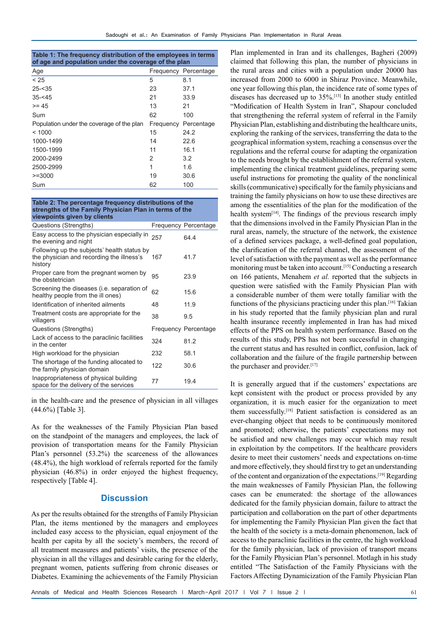| Table 1: The frequency distribution of the employees in terms |  |
|---------------------------------------------------------------|--|
| of age and population under the coverage of the plan          |  |

| Age                                       |    | Frequency Percentage |
|-------------------------------------------|----|----------------------|
| < 25                                      | 5  | 8.1                  |
| $25 - 35$                                 | 23 | 37.1                 |
| $35 - 45$                                 | 21 | 33.9                 |
| $>= 45$                                   | 13 | 21                   |
| Sum                                       | 62 | 100                  |
| Population under the coverage of the plan |    | Frequency Percentage |
| < 1000                                    | 15 | 24.2                 |
| 1000-1499                                 | 14 | 22.6                 |
| 1500-1999                                 | 11 | 16.1                 |
| 2000-2499                                 | 2  | 3.2                  |
| 2500-2999                                 | 1  | 1.6                  |
| $>= 3000$                                 | 19 | 30.6                 |
| Sum                                       | 62 | 100                  |

**Table 2: The percentage frequency distributions of the strengths of the Family Physician Plan in terms of the viewpoints given by clients**

| Questions (Strengths)                                                                               |     | <b>Frequency Percentage</b> |
|-----------------------------------------------------------------------------------------------------|-----|-----------------------------|
| Easy access to the physician especially in<br>the evening and night                                 | 257 | 64.4                        |
| Following up the subjects' health status by<br>the physician and recording the illness's<br>history | 167 | 41.7                        |
| Proper care from the pregnant women by<br>the obstetrician                                          | 95  | 23.9                        |
| Screening the diseases (i.e. separation of<br>healthy people from the ill ones)                     | 62  | 15.6                        |
| Identification of inherited ailments                                                                | 48  | 11.9                        |
| Treatment costs are appropriate for the<br>villagers                                                | 38  | 9.5                         |
| Questions (Strengths)                                                                               |     | <b>Frequency Percentage</b> |
| Lack of access to the paraclinic facilities<br>in the center                                        | 324 | 81.2                        |
| High workload for the physician                                                                     | 232 | 58.1                        |
| The shortage of the funding allocated to<br>the family physician domain                             | 122 | 30.6                        |
| Inappropriateness of physical building<br>space for the delivery of the services                    | 77  | 19.4                        |

in the health-care and the presence of physician in all villages (44.6%) [Table 3].

As for the weaknesses of the Family Physician Plan based on the standpoint of the managers and employees, the lack of provision of transportation means for the Family Physician Plan's personnel (53.2%) the scarceness of the allowances (48.4%), the high workload of referrals reported for the family physician (46.8%) in order enjoyed the highest frequency, respectively [Table 4].

## **Discussion**

As per the results obtained for the strengths of Family Physician Plan, the items mentioned by the managers and employees included easy access to the physician, equal enjoyment of the health per capita by all the society's members, the record of all treatment measures and patients' visits, the presence of the physician in all the villages and desirable caring for the elderly, pregnant women, patients suffering from chronic diseases or Diabetes. Examining the achievements of the Family Physician

Plan implemented in Iran and its challenges, Bagheri (2009) claimed that following this plan, the number of physicians in the rural areas and cities with a population under 20000 has increased from 2000 to 6000 in Shiraz Province. Meanwhile, one year following this plan, the incidence rate of some types of diseases has decreased up to 35%.[13] In another study entitled "Modification of Health System in Iran", Shapour concluded that strengthening the referral system of referral in the Family Physician Plan, establishing and distributing the healthcare units, exploring the ranking of the services, transferring the data to the geographical information system, reaching a consensus over the regulations and the referral course for adapting the organization to the needs brought by the establishment of the referral system, implementing the clinical treatment guidelines, preparing some useful instructions for promoting the quality of the nonclinical skills (communicative) specifically for the family physicians and training the family physicians on how to use these directives are among the essentialities of the plan for the modification of the health system<sup>[14]</sup>. The findings of the previous research imply that the dimensions involved in the Family Physician Plan in the rural areas, namely, the structure of the network, the existence of a defined services package, a well-defined goal population, the clarification of the referral channel, the assessment of the level of satisfaction with the payment as well as the performance monitoring must be taken into account.[15] Conducting a research on 166 patients, Menahem *et al.* reported that the subjects in question were satisfied with the Family Physician Plan with a considerable number of them were totally familiar with the functions of the physicians practicing under this plan.[16] Takian in his study reported that the family physician plan and rural health insurance recently implemented in Iran has had mixed effects of the PPS on health system performance. Based on the results of this study, PPS has not been successful in changing the current status and has resulted in conflict, confusion, lack of collaboration and the failure of the fragile partnership between the purchaser and provider.[17]

It is generally argued that if the customers' expectations are kept consistent with the product or process provided by any organization, it is much easier for the organization to meet them successfully.<sup>[18]</sup> Patient satisfaction is considered as an ever-changing object that needs to be continuously monitored and promoted; otherwise, the patients' expectations may not be satisfied and new challenges may occur which may result in exploitation by the competitors. If the healthcare providers desire to meet their customers' needs and expectations on-time and more effectively, they should first try to get an understanding of the content and organization of the expectations.[19] Regarding the main weaknesses of Family Physician Plan, the following cases can be enumerated: the shortage of the allowances dedicated for the family physician domain, failure to attract the participation and collaboration on the part of other departments for implementing the Family Physician Plan given the fact that the health of the society is a meta-domain phenomenon, lack of access to the paraclinic facilities in the centre, the high workload for the family physician, lack of provision of transport means for the Family Physician Plan's personnel. Motlagh in his study entitled "The Satisfaction of the Family Physicians with the Factors Affecting Dynamicization of the Family Physician Plan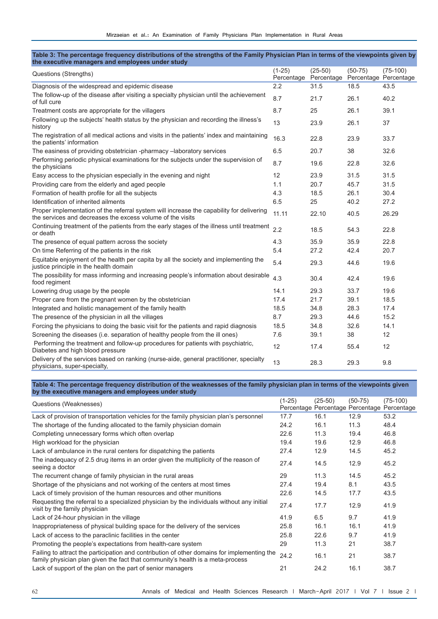#### **Table 3: The percentage frequency distributions of the strengths of the Family Physician Plan in terms of the viewpoints given by the executive managers and employees under study**

| Questions (Strengths)                                                                                                                                  | $(1-25)$<br>Percentage | $(25-50)$<br>Percentage | $(50-75)$<br>Percentage Percentage | $(75-100)$ |
|--------------------------------------------------------------------------------------------------------------------------------------------------------|------------------------|-------------------------|------------------------------------|------------|
| Diagnosis of the widespread and epidemic disease                                                                                                       | 2.2                    | 31.5                    | 18.5                               | 43.5       |
| The follow-up of the disease after visiting a specialty physician until the achievement<br>of full cure                                                | 8.7                    | 21.7                    | 26.1                               | 40.2       |
| Treatment costs are appropriate for the villagers                                                                                                      | 8.7                    | 25                      | 26.1                               | 39.1       |
| Following up the subjects' health status by the physician and recording the illness's<br>history                                                       | 13                     | 23.9                    | 26.1                               | 37         |
| The registration of all medical actions and visits in the patients' index and maintaining<br>the patients' information                                 | 16.3                   | 22.8                    | 23.9                               | 33.7       |
| The easiness of providing obstetrician -pharmacy -laboratory services                                                                                  | 6.5                    | 20.7                    | 38                                 | 32.6       |
| Performing periodic physical examinations for the subjects under the supervision of<br>the physicians                                                  | 8.7                    | 19.6                    | 22.8                               | 32.6       |
| Easy access to the physician especially in the evening and night                                                                                       | 12                     | 23.9                    | 31.5                               | 31.5       |
| Providing care from the elderly and aged people                                                                                                        | 1.1                    | 20.7                    | 45.7                               | 31.5       |
| Formation of health profile for all the subjects                                                                                                       | 4.3                    | 18.5                    | 26.1                               | 30.4       |
| Identification of inherited ailments                                                                                                                   | 6.5                    | 25                      | 40.2                               | 27.2       |
| Proper implementation of the referral system will increase the capability for delivering<br>the services and decreases the excess volume of the visits | 11.11                  | 22.10                   | 40.5                               | 26.29      |
| Continuing treatment of the patients from the early stages of the illness until treatment<br>or death                                                  | 2.2                    | 18.5                    | 54.3                               | 22.8       |
| The presence of equal pattern across the society                                                                                                       | 4.3                    | 35.9                    | 35.9                               | 22.8       |
| On time Referring of the patients in the risk                                                                                                          | 5.4                    | 27.2                    | 42.4                               | 20.7       |
| Equitable enjoyment of the health per capita by all the society and implementing the<br>justice principle in the health domain                         | 5.4                    | 29.3                    | 44.6                               | 19.6       |
| The possibility for mass informing and increasing people's information about desirable<br>food regiment                                                | 4.3                    | 30.4                    | 42.4                               | 19.6       |
| Lowering drug usage by the people                                                                                                                      | 14.1                   | 29.3                    | 33.7                               | 19.6       |
| Proper care from the pregnant women by the obstetrician                                                                                                | 17.4                   | 21.7                    | 39.1                               | 18.5       |
| Integrated and holistic management of the family health                                                                                                | 18.5                   | 34.8                    | 28.3                               | 17.4       |
| The presence of the physician in all the villages                                                                                                      | 8.7                    | 29.3                    | 44.6                               | 15.2       |
| Forcing the physicians to doing the basic visit for the patients and rapid diagnosis                                                                   | 18.5                   | 34.8                    | 32.6                               | 14.1       |
| Screening the diseases (i.e. separation of healthy people from the ill ones)                                                                           | 7.6                    | 39.1                    | 38                                 | 12         |
| Performing the treatment and follow-up procedures for patients with psychiatric,<br>Diabetes and high blood pressure                                   | 12                     | 17.4                    | 55.4                               | 12         |
| Delivery of the services based on ranking (nurse-aide, general practitioner, specialty<br>physicians, super-specialty,                                 | 13                     | 28.3                    | 29.3                               | 9.8        |

**Table 4: The percentage frequency distribution of the weaknesses of the family physician plan in terms of the viewpoints given** 

| by the executive managers and employees under study                                                                                                                           |          |           |           |                                                           |
|-------------------------------------------------------------------------------------------------------------------------------------------------------------------------------|----------|-----------|-----------|-----------------------------------------------------------|
| Questions (Weaknesses)                                                                                                                                                        | $(1-25)$ | $(25-50)$ | $(50-75)$ | $(75-100)$<br>Percentage Percentage Percentage Percentage |
| Lack of provision of transportation vehicles for the family physician plan's personnel                                                                                        | 17.7     | 16.1      | 12.9      | 53.2                                                      |
| The shortage of the funding allocated to the family physician domain                                                                                                          | 24.2     | 16.1      | 11.3      | 48.4                                                      |
| Completing unnecessary forms which often overlap                                                                                                                              | 22.6     | 11.3      | 19.4      | 46.8                                                      |
| High workload for the physician                                                                                                                                               | 19.4     | 19.6      | 12.9      | 46.8                                                      |
| Lack of ambulance in the rural centers for dispatching the patients                                                                                                           | 27.4     | 12.9      | 14.5      | 45.2                                                      |
| The inadequacy of 2.5 drug items in an order given the multiplicity of the reason of<br>seeing a doctor                                                                       | 27.4     | 14.5      | 12.9      | 45.2                                                      |
| The recurrent change of family physician in the rural areas                                                                                                                   | 29       | 11.3      | 14.5      | 45.2                                                      |
| Shortage of the physicians and not working of the centers at most times                                                                                                       | 27.4     | 19.4      | 8.1       | 43.5                                                      |
| Lack of timely provision of the human resources and other munitions                                                                                                           | 22.6     | 14.5      | 17.7      | 43.5                                                      |
| Requesting the referral to a specialized physician by the individuals without any initial<br>visit by the family physician                                                    | 27.4     | 17.7      | 12.9      | 41.9                                                      |
| Lack of 24-hour physician in the village                                                                                                                                      | 41.9     | 6.5       | 9.7       | 41.9                                                      |
| Inappropriateness of physical building space for the delivery of the services                                                                                                 | 25.8     | 16.1      | 16.1      | 41.9                                                      |
| Lack of access to the paraclinic facilities in the center                                                                                                                     | 25.8     | 22.6      | 9.7       | 41.9                                                      |
| Promoting the people's expectations from health-care system                                                                                                                   | 29       | 11.3      | 21        | 38.7                                                      |
| Failing to attract the participation and contribution of other domains for implementing the<br>family physician plan given the fact that community's health is a meta-process | 24.2     | 16.1      | 21        | 38.7                                                      |
| Lack of support of the plan on the part of senior managers                                                                                                                    | 21       | 24.2      | 16.1      | 38.7                                                      |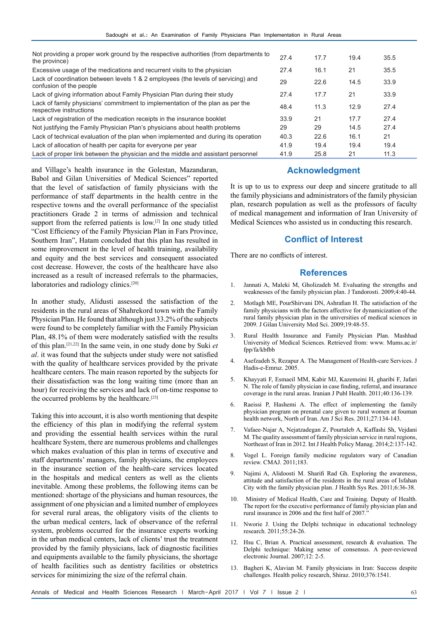| Not providing a proper work ground by the respective authorities (from departments to<br>the province)       | 27.4 | 17.7 | 19.4 | 35.5 |
|--------------------------------------------------------------------------------------------------------------|------|------|------|------|
| Excessive usage of the medications and recurrent visits to the physician                                     | 27.4 | 16.1 | 21   | 35.5 |
| Lack of coordination between levels 1 & 2 employees (the levels of servicing) and<br>confusion of the people | 29   | 22.6 | 14.5 | 33.9 |
| Lack of giving information about Family Physician Plan during their study                                    | 27.4 | 17.7 | 21   | 33.9 |
| Lack of family physicians' commitment to implementation of the plan as per the<br>respective instructions    | 48.4 | 11.3 | 12.9 | 27.4 |
| Lack of registration of the medication receipts in the insurance booklet                                     | 33.9 | 21   | 17.7 | 27.4 |
| Not justifying the Family Physician Plan's physicians about health problems                                  | 29   | 29   | 14.5 | 27.4 |
| Lack of technical evaluation of the plan when implemented and during its operation                           | 40.3 | 22.6 | 16.1 | 21   |
| Lack of allocation of health per capita for everyone per year                                                | 41.9 | 19.4 | 19.4 | 19.4 |
| Lack of proper link between the physician and the middle and assistant personnel                             | 41.9 | 25.8 | 21   | 11.3 |

and Village's health insurance in the Golestan, Mazandaran, Babol and Gilan Universities of Medical Sciences" reported that the level of satisfaction of family physicians with the performance of staff departments in the health centre in the respective towns and the overall performance of the specialist practitioners Grade 2 in terms of admission and technical support from the referred patients is low.<sup>[2]</sup> In one study titled "Cost Efficiency of the Family Physician Plan in Fars Province, Southern Iran", Hatam concluded that this plan has resulted in some improvement in the level of health training, availability and equity and the best services and consequent associated cost decrease. However, the costs of the healthcare have also increased as a result of increased referrals to the pharmacies, laboratories and radiology clinics.[20]

In another study, Alidusti assessed the satisfaction of the residents in the rural areas of Shahrekord town with the Family Physician Plan. He found that although just 33.2% of the subjects were found to be completely familiar with the Family Physician Plan, 48.1% of them were moderately satisfied with the results of this plan.[21,22] In the same vein, in one study done by Suki *et al*. it was found that the subjects under study were not satisfied with the quality of healthcare services provided by the private healthcare centers. The main reason reported by the subjects for their dissatisfaction was the long waiting time (more than an hour) for receiving the services and lack of on-time response to the occurred problems by the healthcare.<sup>[23]</sup>

Taking this into account, it is also worth mentioning that despite the efficiency of this plan in modifying the referral system and providing the essential health services within the rural healthcare System, there are numerous problems and challenges which makes evaluation of this plan in terms of executive and staff departments' managers, family physicians, the employees in the insurance section of the health-care services located in the hospitals and medical centers as well as the clients inevitable. Among these problems, the following items can be mentioned: shortage of the physicians and human resources, the assignment of one physician and a limited number of employees for several rural areas, the obligatory visits of the clients to the urban medical centers, lack of observance of the referral system, problems occurred for the insurance experts working in the urban medical centers, lack of clients' trust the treatment provided by the family physicians, lack of diagnostic facilities and equipments available to the family physicians, the shortage of health facilities such as dentistry facilities or obstetrics services for minimizing the size of the referral chain.

#### **Acknowledgment**

It is up to us to express our deep and sincere gratitude to all the family physicians and administrators of the family physician plan, research population as well as the professors of faculty of medical management and information of Iran University of Medical Sciences who assisted us in conducting this research.

### **Conflict of Interest**

There are no conflicts of interest.

#### **References**

- 1. Jannati A, Maleki M, Gholizadeh M. Evaluating the strengths and weaknesses of the family physician plan. J Tandorosti. 2009;4:40-44.
- 2. Motlagh ME, PourShirvani DN, Ashrafian H. The satisfaction of the family physicians with the factors affective for dynamicization of the rural family physician plan in the universities of medical sciences in 2009. J Gilan University Med Sci. 2009;19:48-55.
- 3. Rural Health Insurance and Family Physician Plan. Mashhad University of Medical Sciences. Retrieved from: www. Mums.ac.ir/ fpp/fa/kbfbb
- 4. Asefzadeh S, Rezapur A. The Management of Health-care Services. J Hadis-e-Emruz. 2005.
- 5. Khayyati F, Esmaeil MM, Kabir MJ, Kazemeini H, gharibi F, Jafari N. The role of family physician in case finding, referral, and insurance coverage in the rural areas. Iranian J Publ Health. 2011;40:136-139.
- 6. Raeissi P, Hashemi A. The effect of implementing the family physician program on prenatal care given to rural women at fouman health network, North of Iran. Am J Sci Res. 2011;27:134-143.
- 7. Vafaee-Najar A, Nejatzadegan Z, Pourtaleb A, Kaffashi Sh, Vejdani M. The quality assessment of family physician service in rural regions, Northeast of Iran in 2012. Int J Health Policy Manag. 2014;2:137-142.
- 8. Vogel L. Foreign family medicine regulators wary of Canadian review. CMAJ. 2011;183.
- 9. Najimi A, Alidoosti M. Sharifi Rad Gh. Exploring the awareness, attitude and satisfaction of the residents in the rural areas of Isfahan City with the family physician plan. J Health Sys Res. 2011;6:36-38.
- 10. Ministry of Medical Health, Care and Training. Deputy of Health. The report for the executive performance of family physician plan and rural insurance in 2006 and the first half of 2007.'
- 11. Nworie J. Using the Delphi technique in educational technology research. 2011;55:24-26.
- 12. Hsu C, Brian A. Practical assessment, research & evaluation. The Delphi technique: Making sense of consensus. A peer-reviewed electronic Journal. 2007;12: 2-5.
- 13. Bagheri K, Alavian M. Family physicians in Iran: Success despite challenges. Health policy research, Shiraz. 2010;376:1541.